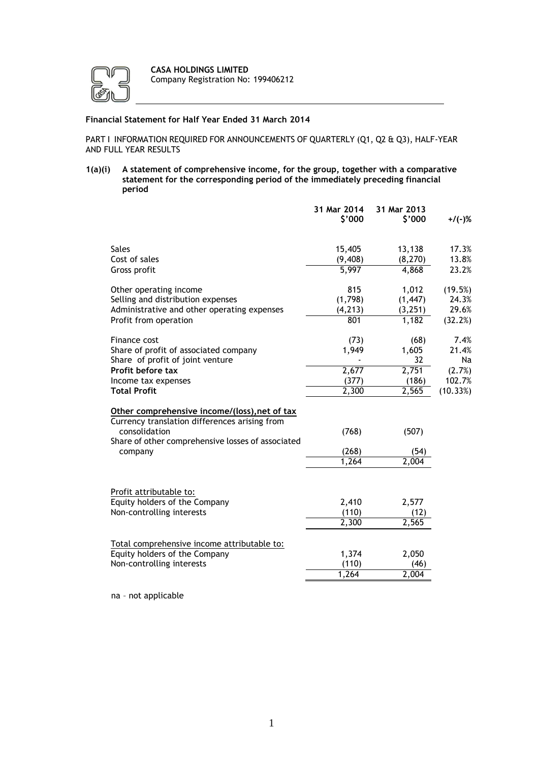

# **Financial Statement for Half Year Ended 31 March 2014**

PART I INFORMATION REQUIRED FOR ANNOUNCEMENTS OF QUARTERLY (Q1, Q2 & Q3), HALF-YEAR AND FULL YEAR RESULTS

**1(a)(i) A statement of comprehensive income, for the group, together with a comparative statement for the corresponding period of the immediately preceding financial period**

|                                                                                                                                                                                 | 31 Mar 2014<br>\$'000                    | 31 Mar 2013<br>\$'000                          | $+$ /(-)%                                           |
|---------------------------------------------------------------------------------------------------------------------------------------------------------------------------------|------------------------------------------|------------------------------------------------|-----------------------------------------------------|
| <b>Sales</b>                                                                                                                                                                    | 15,405                                   | 13,138                                         | 17.3%                                               |
| Cost of sales                                                                                                                                                                   | (9, 408)                                 | (8, 270)                                       | 13.8%                                               |
| Gross profit                                                                                                                                                                    | 5,997                                    | 4,868                                          | 23.2%                                               |
|                                                                                                                                                                                 |                                          |                                                |                                                     |
| Other operating income                                                                                                                                                          | 815                                      | 1,012                                          | (19.5%)                                             |
| Selling and distribution expenses                                                                                                                                               | (1,798)                                  | (1, 447)                                       | 24.3%                                               |
| Administrative and other operating expenses                                                                                                                                     | (4, 213)                                 | (3,251)                                        | 29.6%                                               |
| Profit from operation                                                                                                                                                           | 801                                      | 1,182                                          | (32.2%)                                             |
| Finance cost<br>Share of profit of associated company<br>Share of profit of joint venture<br>Profit before tax<br>Income tax expenses<br><b>Total Profit</b>                    | (73)<br>1,949<br>2,677<br>(377)<br>2,300 | (68)<br>1,605<br>32<br>2,751<br>(186)<br>2,565 | 7.4%<br>21.4%<br>Na<br>(2.7%)<br>102.7%<br>(10.33%) |
| Other comprehensive income/(loss), net of tax<br>Currency translation differences arising from<br>consolidation<br>Share of other comprehensive losses of associated<br>company | (768)<br>(268)<br>1,264                  | (507)<br>(54)<br>2,004                         |                                                     |
| Profit attributable to:                                                                                                                                                         | 2,410                                    | 2,577                                          |                                                     |
| Equity holders of the Company                                                                                                                                                   | (110)                                    | (12)                                           |                                                     |
| Non-controlling interests                                                                                                                                                       | 2,300                                    | 2,565                                          |                                                     |
| Total comprehensive income attributable to:                                                                                                                                     | 1,374                                    | 2,050                                          |                                                     |
| Equity holders of the Company                                                                                                                                                   | (110)                                    | (46)                                           |                                                     |
| Non-controlling interests                                                                                                                                                       | 1,264                                    | $\overline{2,}004$                             |                                                     |

na – not applicable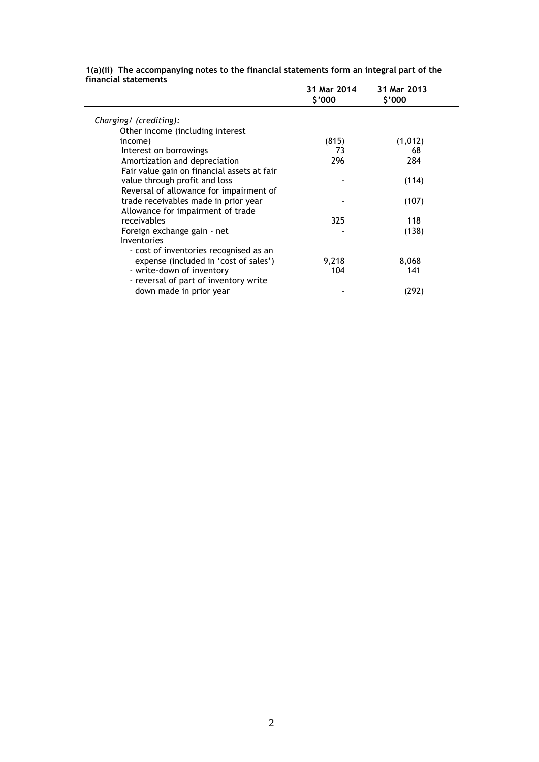| 1(a)(ii) The accompanying notes to the financial statements form an integral part of the |
|------------------------------------------------------------------------------------------|
| financial statements                                                                     |

|                                             | 31 Mar 2014<br>\$'000 | 31 Mar 2013<br>\$'000 |
|---------------------------------------------|-----------------------|-----------------------|
| Charging/ (crediting):                      |                       |                       |
| Other income (including interest            |                       |                       |
| income)                                     | (815)                 | (1,012)               |
| Interest on borrowings                      | 73                    | 68                    |
| Amortization and depreciation               | 296                   | 284                   |
| Fair value gain on financial assets at fair |                       |                       |
| value through profit and loss               |                       | (114)                 |
| Reversal of allowance for impairment of     |                       |                       |
| trade receivables made in prior year        |                       | (107)                 |
| Allowance for impairment of trade           |                       |                       |
| receivables                                 | 325                   | 118                   |
| Foreign exchange gain - net                 |                       | (138)                 |
| Inventories                                 |                       |                       |
| - cost of inventories recognised as an      |                       |                       |
| expense (included in 'cost of sales')       | 9,218                 | 8,068                 |
| - write-down of inventory                   | 104                   | 141                   |
| - reversal of part of inventory write       |                       |                       |
| down made in prior year                     |                       | (292)                 |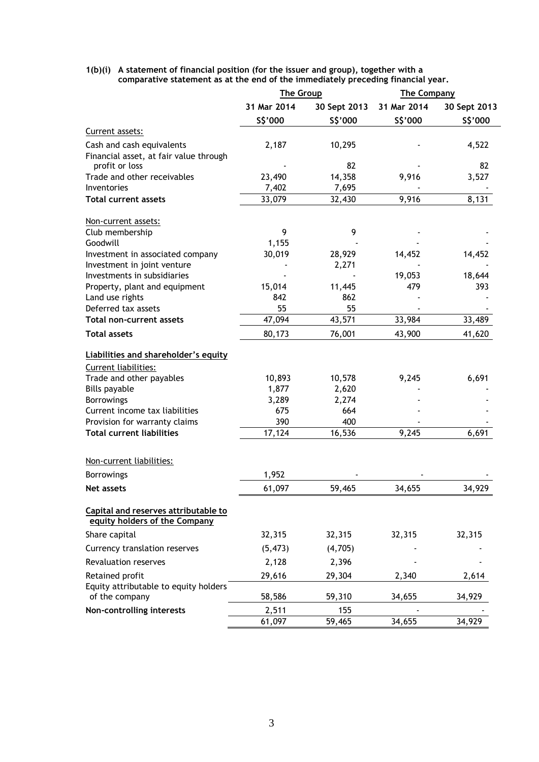## **1(b)(i) A statement of financial position (for the issuer and group), together with a comparative statement as at the end of the immediately preceding financial year.**

|                                                                       | The Group       |               | <b>The Company</b> |              |
|-----------------------------------------------------------------------|-----------------|---------------|--------------------|--------------|
|                                                                       | 31 Mar 2014     | 30 Sept 2013  | 31 Mar 2014        | 30 Sept 2013 |
|                                                                       | \$\$'000        | \$\$'000      | \$\$'000           | \$\$'000     |
| Current assets:                                                       |                 |               |                    |              |
| Cash and cash equivalents                                             | 2,187           | 10,295        |                    | 4,522        |
| Financial asset, at fair value through                                |                 |               |                    |              |
| profit or loss                                                        |                 | 82            |                    | 82           |
| Trade and other receivables                                           | 23,490          | 14,358        | 9,916              | 3,527        |
| Inventories                                                           | 7,402           | 7,695         |                    |              |
| <b>Total current assets</b>                                           | 33,079          | 32,430        | 9,916              | 8,131        |
| Non-current assets:                                                   |                 |               |                    |              |
| Club membership                                                       | 9               | 9             |                    |              |
| Goodwill                                                              | 1,155           |               |                    |              |
| Investment in associated company                                      | 30,019          | 28,929        | 14,452             | 14,452       |
| Investment in joint venture                                           |                 | 2,271         |                    |              |
| Investments in subsidiaries                                           |                 |               | 19,053             | 18,644       |
| Property, plant and equipment                                         | 15,014          | 11,445        | 479                | 393          |
| Land use rights                                                       | 842             | 862           |                    |              |
| Deferred tax assets                                                   | 55              | 55            |                    |              |
| Total non-current assets                                              | 47,094          | 43,571        | 33,984             | 33,489       |
| <b>Total assets</b>                                                   | 80,173          | 76,001        | 43,900             | 41,620       |
|                                                                       |                 |               |                    |              |
| Liabilities and shareholder's equity                                  |                 |               |                    |              |
| Current liabilities:<br>Trade and other payables                      | 10,893          | 10,578        | 9,245              | 6,691        |
| <b>Bills payable</b>                                                  | 1,877           | 2,620         |                    |              |
| <b>Borrowings</b>                                                     | 3,289           | 2,274         |                    |              |
| Current income tax liabilities                                        | 675             | 664           |                    |              |
| Provision for warranty claims                                         | 390             | 400           |                    |              |
| <b>Total current liabilities</b>                                      | 17,124          | 16,536        | 9,245              | 6,691        |
|                                                                       |                 |               |                    |              |
| Non-current liabilities:                                              |                 |               |                    |              |
| <b>Borrowings</b>                                                     | 1,952           |               |                    |              |
| Net assets                                                            | 61,097          | 59,465        | 34,655             | 34,929       |
|                                                                       |                 |               |                    |              |
| Capital and reserves attributable to<br>equity holders of the Company |                 |               |                    |              |
| Share capital                                                         | 32,315          | 32,315        | 32,315             | 32,315       |
|                                                                       |                 |               |                    |              |
| Currency translation reserves                                         | (5, 473)        | (4,705)       |                    |              |
| Revaluation reserves                                                  | 2,128           | 2,396         |                    |              |
| Retained profit                                                       | 29,616          | 29,304        | 2,340              | 2,614        |
| Equity attributable to equity holders<br>of the company               | 58,586          | 59,310        | 34,655             | 34,929       |
| Non-controlling interests                                             |                 |               |                    |              |
|                                                                       | 2,511<br>61,097 | 155<br>59,465 | 34,655             | 34,929       |
|                                                                       |                 |               |                    |              |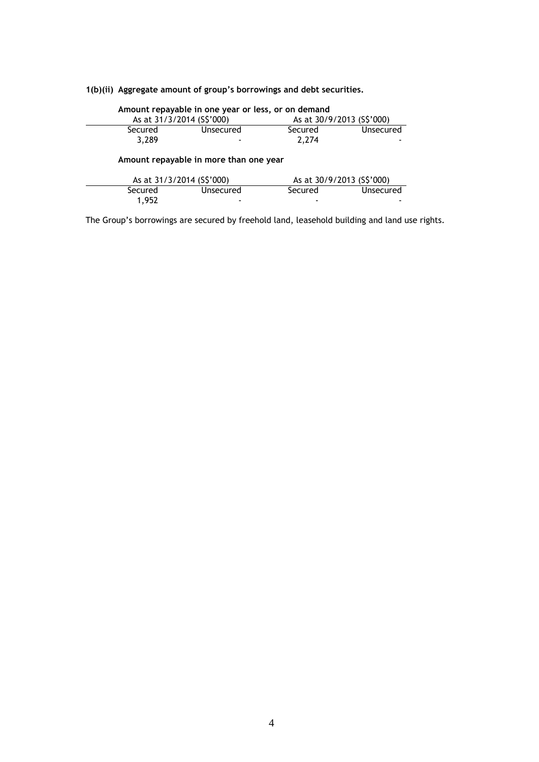# **1(b)(ii) Aggregate amount of group's borrowings and debt securities.**

| Amount repayable in one year or less, or on demand |           |                           |                  |  |
|----------------------------------------------------|-----------|---------------------------|------------------|--|
| As at 31/3/2014 (S\$'000)                          |           | As at 30/9/2013 (S\$'000) |                  |  |
| Secured                                            | Unsecured | Secured                   | Unsecured        |  |
| 3,289                                              |           | 2.274                     |                  |  |
| Amount repayable in more than one year             |           |                           |                  |  |
| As at 31/3/2014 (S\$'000)                          |           | As at 30/9/2013 (S\$'000) |                  |  |
| Secured                                            | Unsecured | Secured                   | <b>Unsecured</b> |  |
| 1.952                                              |           |                           |                  |  |

The Group's borrowings are secured by freehold land, leasehold building and land use rights.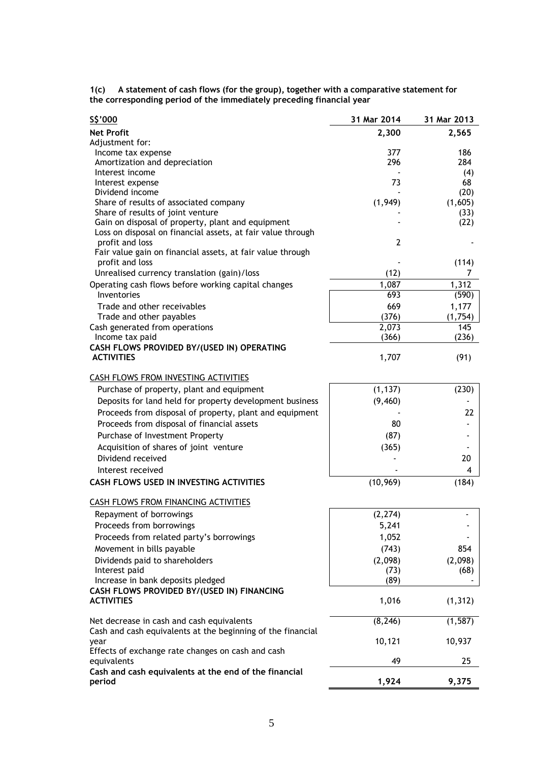**1(c) A statement of cash flows (for the group), together with a comparative statement for the corresponding period of the immediately preceding financial year**

| \$\$'000                                                        | 31 Mar 2014    | 31 Mar 2013     |
|-----------------------------------------------------------------|----------------|-----------------|
| <b>Net Profit</b>                                               | 2,300          | 2,565           |
| Adjustment for:                                                 |                |                 |
| Income tax expense                                              | 377            | 186             |
| Amortization and depreciation                                   | 296            | 284             |
| Interest income                                                 |                | (4)             |
| Interest expense<br>Dividend income                             | 73             | 68<br>(20)      |
| Share of results of associated company                          | (1,949)        | (1,605)         |
| Share of results of joint venture                               |                | (33)            |
| Gain on disposal of property, plant and equipment               |                | (22)            |
| Loss on disposal on financial assets, at fair value through     |                |                 |
| profit and loss                                                 | $\overline{2}$ |                 |
| Fair value gain on financial assets, at fair value through      |                |                 |
| profit and loss                                                 |                | (114)           |
| Unrealised currency translation (gain)/loss                     | (12)           | 7               |
| Operating cash flows before working capital changes             | 1,087          | 1,312           |
| Inventories                                                     | 693            | (590)           |
| Trade and other receivables                                     | 669            | 1,177           |
| Trade and other payables                                        | (376)          | (1,754)         |
| Cash generated from operations                                  | 2,073          | 145             |
| Income tax paid                                                 | (366)          | (236)           |
| CASH FLOWS PROVIDED BY/(USED IN) OPERATING<br><b>ACTIVITIES</b> |                | (91)            |
|                                                                 | 1,707          |                 |
| <b>CASH FLOWS FROM INVESTING ACTIVITIES</b>                     |                |                 |
| Purchase of property, plant and equipment                       | (1, 137)       | (230)           |
| Deposits for land held for property development business        | (9, 460)       |                 |
| Proceeds from disposal of property, plant and equipment         |                | 22              |
| Proceeds from disposal of financial assets                      | 80             |                 |
|                                                                 |                |                 |
| Purchase of Investment Property                                 | (87)           |                 |
| Acquisition of shares of joint venture                          | (365)          |                 |
| Dividend received                                               |                | 20              |
| Interest received                                               |                | 4               |
| <b>CASH FLOWS USED IN INVESTING ACTIVITIES</b>                  | (10, 969)      | (184)           |
| CASH FLOWS FROM FINANCING ACTIVITIES                            |                |                 |
| Repayment of borrowings                                         | (2, 274)       |                 |
| Proceeds from borrowings                                        | 5,241          |                 |
| Proceeds from related party's borrowings                        | 1,052          |                 |
| Movement in bills payable                                       | (743)          | 854             |
|                                                                 | (2,098)        |                 |
| Dividends paid to shareholders<br>Interest paid                 | (73)           | (2,098)<br>(68) |
| Increase in bank deposits pledged                               | (89)           |                 |
| CASH FLOWS PROVIDED BY/(USED IN) FINANCING                      |                |                 |
| <b>ACTIVITIES</b>                                               | 1,016          | (1, 312)        |
|                                                                 |                |                 |
| Net decrease in cash and cash equivalents                       | (8, 246)       | (1, 587)        |
| Cash and cash equivalents at the beginning of the financial     |                |                 |
| year<br>Effects of exchange rate changes on cash and cash       | 10,121         | 10,937          |
| equivalents                                                     | 49             | 25              |
| Cash and cash equivalents at the end of the financial           |                |                 |
| period                                                          | 1,924          | 9,375           |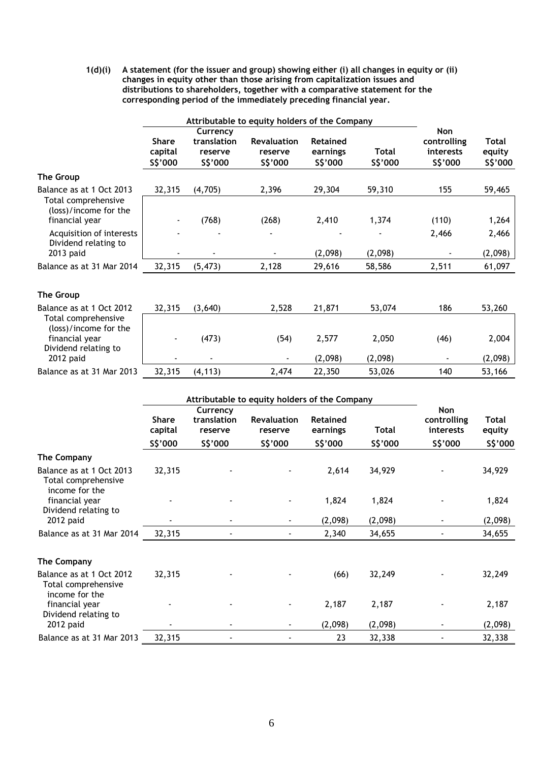**1(d)(i) A statement (for the issuer and group) showing either (i) all changes in equity or (ii) changes in equity other than those arising from capitalization issues and distributions to shareholders, together with a comparative statement for the corresponding period of the immediately preceding financial year.** 

|                                                                          | Attributable to equity holders of the Company |                                                |                                                                                            |                                         |                          |                                             |                                    |
|--------------------------------------------------------------------------|-----------------------------------------------|------------------------------------------------|--------------------------------------------------------------------------------------------|-----------------------------------------|--------------------------|---------------------------------------------|------------------------------------|
|                                                                          | <b>Share</b><br>capital<br>S\$'000            | Currency<br>translation<br>reserve<br>\$\$'000 | Revaluation<br>reserve<br>S\$'000                                                          | Retained<br>earnings<br>\$\$'000        | <b>Total</b><br>\$\$'000 | Non<br>controlling<br>interests<br>\$\$'000 | <b>Total</b><br>equity<br>\$\$'000 |
| <b>The Group</b>                                                         |                                               |                                                |                                                                                            |                                         |                          |                                             |                                    |
| Balance as at 1 Oct 2013<br>Total comprehensive<br>(loss)/income for the | 32,315                                        | (4,705)                                        | 2,396                                                                                      | 29,304                                  | 59,310                   | 155                                         | 59,465                             |
| financial year                                                           |                                               | (768)                                          | (268)                                                                                      | 2,410                                   | 1,374                    | (110)                                       | 1,264                              |
| Acquisition of interests<br>Dividend relating to<br>2013 paid            |                                               |                                                |                                                                                            | (2,098)                                 | (2,098)                  | 2,466                                       | 2,466<br>(2,098)                   |
| Balance as at 31 Mar 2014                                                | 32,315                                        | (5, 473)                                       | 2,128                                                                                      | 29,616                                  | 58,586                   | 2,511                                       | 61,097                             |
| <b>The Group</b>                                                         |                                               |                                                |                                                                                            |                                         |                          |                                             |                                    |
| Balance as at 1 Oct 2012<br>Total comprehensive<br>(loss)/income for the | 32,315                                        | (3,640)                                        | 2,528                                                                                      | 21,871                                  | 53,074                   | 186                                         | 53,260                             |
| financial year<br>Dividend relating to                                   |                                               | (473)                                          | (54)                                                                                       | 2,577                                   | 2,050                    | (46)                                        | 2,004                              |
| 2012 paid<br>Balance as at 31 Mar 2013                                   | 32,315                                        | (4, 113)                                       | $\overline{\phantom{a}}$<br>2,474                                                          | (2,098)<br>22,350                       | (2,098)<br>53,026        | 140                                         | (2,098)<br>53,166                  |
|                                                                          | <b>Share</b><br>capital<br>\$\$'000           | Currency<br>translation<br>reserve<br>\$\$'000 | Attributable to equity holders of the Company<br><b>Revaluation</b><br>reserve<br>\$\$'000 | <b>Retained</b><br>earnings<br>\$\$'000 | <b>Total</b><br>\$\$'000 | Non<br>controlling<br>interests<br>\$\$'000 | <b>Total</b><br>equity<br>S\$'000  |
| The Company                                                              |                                               |                                                |                                                                                            |                                         |                          |                                             |                                    |
| Balance as at 1 Oct 2013<br>Total comprehensive<br>income for the        | 32,315                                        |                                                |                                                                                            | 2,614                                   | 34,929                   |                                             | 34,929                             |
| financial year<br>Dividend relating to                                   |                                               |                                                |                                                                                            | 1,824                                   | 1,824                    |                                             | 1,824                              |
| 2012 paid                                                                |                                               |                                                |                                                                                            | (2,098)                                 | (2,098)                  |                                             | (2,098)                            |
| Balance as at 31 Mar 2014                                                | 32,315                                        |                                                |                                                                                            | 2,340                                   | 34,655                   |                                             | 34,655                             |
| <b>The Company</b>                                                       |                                               |                                                |                                                                                            |                                         |                          |                                             |                                    |
| Balance as at 1 Oct 2012<br>Total comprehensive<br>income for the        | 32,315                                        |                                                |                                                                                            | (66)                                    | 32,249                   |                                             | 32,249                             |
| financial year<br>Dividend relating to                                   |                                               |                                                |                                                                                            | 2,187                                   | 2,187                    |                                             | 2,187                              |
| 2012 paid                                                                | ۰                                             |                                                |                                                                                            | (2,098)                                 | (2,098)                  |                                             | (2,098)                            |
| Balance as at 31 Mar 2013                                                | 32,315                                        |                                                |                                                                                            | 23                                      | 32,338                   |                                             | 32,338                             |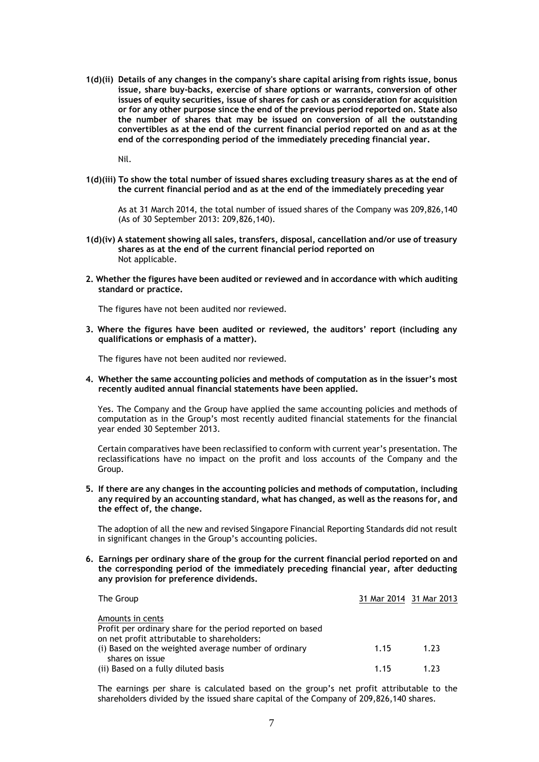**1(d)(ii) Details of any changes in the company's share capital arising from rights issue, bonus issue, share buy-backs, exercise of share options or warrants, conversion of other issues of equity securities, issue of shares for cash or as consideration for acquisition or for any other purpose since the end of the previous period reported on. State also the number of shares that may be issued on conversion of all the outstanding convertibles as at the end of the current financial period reported on and as at the end of the corresponding period of the immediately preceding financial year.** 

Nil.

**1(d)(iii) To show the total number of issued shares excluding treasury shares as at the end of the current financial period and as at the end of the immediately preceding year**

As at 31 March 2014, the total number of issued shares of the Company was 209,826,140 (As of 30 September 2013: 209,826,140).

- **1(d)(iv) A statement showing all sales, transfers, disposal, cancellation and/or use of treasury shares as at the end of the current financial period reported on** Not applicable.
- **2. Whether the figures have been audited or reviewed and in accordance with which auditing standard or practice.**

The figures have not been audited nor reviewed.

**3. Where the figures have been audited or reviewed, the auditors' report (including any qualifications or emphasis of a matter).** 

The figures have not been audited nor reviewed.

**4. Whether the same accounting policies and methods of computation as in the issuer's most recently audited annual financial statements have been applied.** 

Yes. The Company and the Group have applied the same accounting policies and methods of computation as in the Group's most recently audited financial statements for the financial year ended 30 September 2013.

Certain comparatives have been reclassified to conform with current year's presentation. The reclassifications have no impact on the profit and loss accounts of the Company and the Group.

**5. If there are any changes in the accounting policies and methods of computation, including any required by an accounting standard, what has changed, as well as the reasons for, and the effect of, the change.** 

The adoption of all the new and revised Singapore Financial Reporting Standards did not result in significant changes in the Group's accounting policies.

**6. Earnings per ordinary share of the group for the current financial period reported on and the corresponding period of the immediately preceding financial year, after deducting any provision for preference dividends.** 

| The Group                                                               | 31 Mar 2014 31 Mar 2013 |      |
|-------------------------------------------------------------------------|-------------------------|------|
| Amounts in cents                                                        |                         |      |
| Profit per ordinary share for the period reported on based              |                         |      |
| on net profit attributable to shareholders:                             |                         |      |
| (i) Based on the weighted average number of ordinary<br>shares on issue | 1.15                    | 1.23 |
| (ii) Based on a fully diluted basis                                     | 1.15                    | 1.23 |

The earnings per share is calculated based on the group's net profit attributable to the shareholders divided by the issued share capital of the Company of 209,826,140 shares.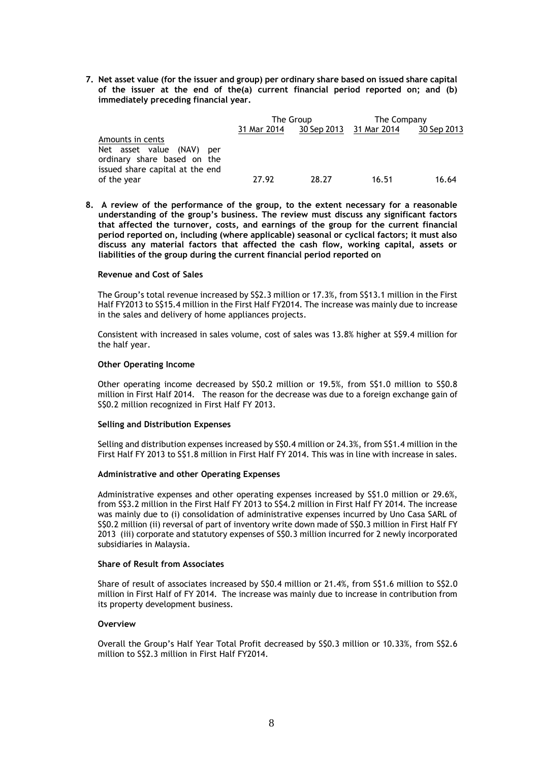**7. Net asset value (for the issuer and group) per ordinary share based on issued share capital of the issuer at the end of the(a) current financial period reported on; and (b) immediately preceding financial year.** 

|                                                                                                                    | The Group   |       | The Company             |             |
|--------------------------------------------------------------------------------------------------------------------|-------------|-------|-------------------------|-------------|
|                                                                                                                    | 31 Mar 2014 |       | 30 Sep 2013 31 Mar 2014 | 30 Sep 2013 |
| Amounts in cents<br>Net asset value (NAV)<br>per<br>ordinary share based on the<br>issued share capital at the end |             |       |                         |             |
| of the year                                                                                                        | 27.92       | 28.27 | 16.51                   | 16.64       |

**8. A review of the performance of the group, to the extent necessary for a reasonable understanding of the group's business. The review must discuss any significant factors that affected the turnover, costs, and earnings of the group for the current financial period reported on, including (where applicable) seasonal or cyclical factors; it must also discuss any material factors that affected the cash flow, working capital, assets or liabilities of the group during the current financial period reported on**

## **Revenue and Cost of Sales**

The Group's total revenue increased by S\$2.3 million or 17.3%, from S\$13.1 million in the First Half FY2013 to S\$15.4 million in the First Half FY2014. The increase was mainly due to increase in the sales and delivery of home appliances projects.

Consistent with increased in sales volume, cost of sales was 13.8% higher at S\$9.4 million for the half year.

## **Other Operating Income**

Other operating income decreased by S\$0.2 million or 19.5%, from S\$1.0 million to S\$0.8 million in First Half 2014. The reason for the decrease was due to a foreign exchange gain of S\$0.2 million recognized in First Half FY 2013.

## **Selling and Distribution Expenses**

Selling and distribution expenses increased by S\$0.4 million or 24.3%, from S\$1.4 million in the First Half FY 2013 to S\$1.8 million in First Half FY 2014. This was in line with increase in sales.

## **Administrative and other Operating Expenses**

Administrative expenses and other operating expenses increased by S\$1.0 million or 29.6%, from S\$3.2 million in the First Half FY 2013 to S\$4.2 million in First Half FY 2014. The increase was mainly due to (i) consolidation of administrative expenses incurred by Uno Casa SARL of S\$0.2 million (ii) reversal of part of inventory write down made of S\$0.3 million in First Half FY 2013 (iii) corporate and statutory expenses of S\$0.3 million incurred for 2 newly incorporated subsidiaries in Malaysia.

## **Share of Result from Associates**

Share of result of associates increased by S\$0.4 million or 21.4%, from S\$1.6 million to S\$2.0 million in First Half of FY 2014. The increase was mainly due to increase in contribution from its property development business.

## **Overview**

Overall the Group's Half Year Total Profit decreased by S\$0.3 million or 10.33%, from S\$2.6 million to S\$2.3 million in First Half FY2014.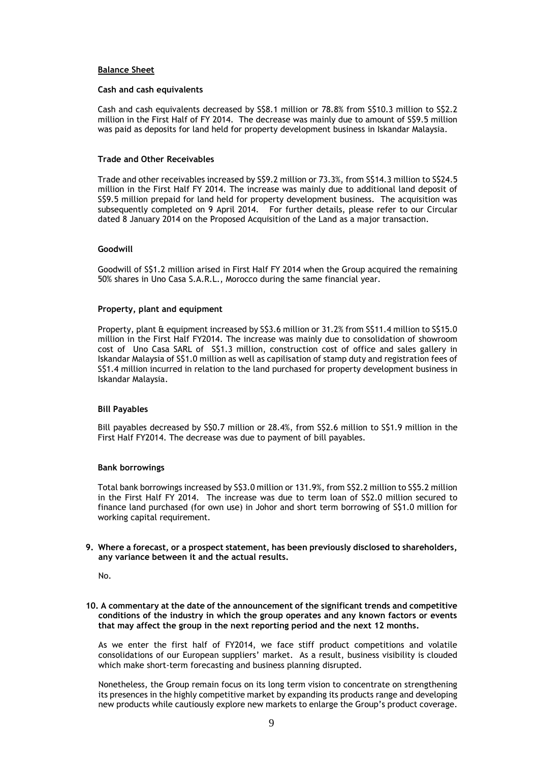## **Balance Sheet**

## **Cash and cash equivalents**

Cash and cash equivalents decreased by S\$8.1 million or 78.8% from S\$10.3 million to S\$2.2 million in the First Half of FY 2014. The decrease was mainly due to amount of S\$9.5 million was paid as deposits for land held for property development business in Iskandar Malaysia.

## **Trade and Other Receivables**

Trade and other receivables increased by S\$9.2 million or 73.3%, from S\$14.3 million to S\$24.5 million in the First Half FY 2014. The increase was mainly due to additional land deposit of S\$9.5 million prepaid for land held for property development business. The acquisition was subsequently completed on 9 April 2014. For further details, please refer to our Circular dated 8 January 2014 on the Proposed Acquisition of the Land as a major transaction.

## **Goodwill**

Goodwill of S\$1.2 million arised in First Half FY 2014 when the Group acquired the remaining 50% shares in Uno Casa S.A.R.L., Morocco during the same financial year.

## **Property, plant and equipment**

Property, plant & equipment increased by S\$3.6 million or 31.2% from S\$11.4 million to S\$15.0 million in the First Half FY2014. The increase was mainly due to consolidation of showroom cost of Uno Casa SARL of S\$1.3 million, construction cost of office and sales gallery in Iskandar Malaysia of S\$1.0 million as well as capilisation of stamp duty and registration fees of S\$1.4 million incurred in relation to the land purchased for property development business in Iskandar Malaysia.

## **Bill Payables**

Bill payables decreased by S\$0.7 million or 28.4%, from S\$2.6 million to S\$1.9 million in the First Half FY2014. The decrease was due to payment of bill payables.

## **Bank borrowings**

Total bank borrowings increased by S\$3.0 million or 131.9%, from S\$2.2 million to S\$5.2 million in the First Half FY 2014. The increase was due to term loan of S\$2.0 million secured to finance land purchased (for own use) in Johor and short term borrowing of S\$1.0 million for working capital requirement.

**9. Where a forecast, or a prospect statement, has been previously disclosed to shareholders, any variance between it and the actual results.** 

No.

**10. A commentary at the date of the announcement of the significant trends and competitive conditions of the industry in which the group operates and any known factors or events that may affect the group in the next reporting period and the next 12 months.** 

As we enter the first half of FY2014, we face stiff product competitions and volatile consolidations of our European suppliers' market. As a result, business visibility is clouded which make short-term forecasting and business planning disrupted.

Nonetheless, the Group remain focus on its long term vision to concentrate on strengthening its presences in the highly competitive market by expanding its products range and developing new products while cautiously explore new markets to enlarge the Group's product coverage.